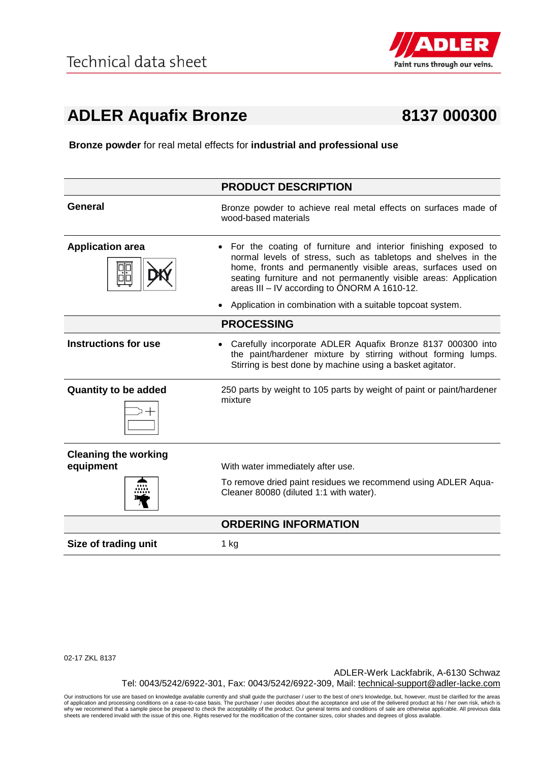

## **ADLER Aquafix Bronze 8137 000300**

**Bronze powder** for real metal effects for **industrial and professional use**

|                                          | <b>PRODUCT DESCRIPTION</b>                                                                                                                                                                                                                                                                                          |
|------------------------------------------|---------------------------------------------------------------------------------------------------------------------------------------------------------------------------------------------------------------------------------------------------------------------------------------------------------------------|
| <b>General</b>                           | Bronze powder to achieve real metal effects on surfaces made of<br>wood-based materials                                                                                                                                                                                                                             |
| <b>Application area</b>                  | For the coating of furniture and interior finishing exposed to<br>normal levels of stress, such as tabletops and shelves in the<br>home, fronts and permanently visible areas, surfaces used on<br>seating furniture and not permanently visible areas: Application<br>areas III – IV according to ÖNORM A 1610-12. |
|                                          | Application in combination with a suitable topcoat system.                                                                                                                                                                                                                                                          |
|                                          | <b>PROCESSING</b>                                                                                                                                                                                                                                                                                                   |
| <b>Instructions for use</b>              | Carefully incorporate ADLER Aquafix Bronze 8137 000300 into<br>the paint/hardener mixture by stirring without forming lumps.<br>Stirring is best done by machine using a basket agitator.                                                                                                                           |
| <b>Quantity to be added</b>              | 250 parts by weight to 105 parts by weight of paint or paint/hardener<br>mixture                                                                                                                                                                                                                                    |
| <b>Cleaning the working</b><br>equipment | With water immediately after use.                                                                                                                                                                                                                                                                                   |
|                                          | To remove dried paint residues we recommend using ADLER Aqua-<br>Cleaner 80080 (diluted 1:1 with water).                                                                                                                                                                                                            |
|                                          | <b>ORDERING INFORMATION</b>                                                                                                                                                                                                                                                                                         |
| Size of trading unit                     | 1 kg                                                                                                                                                                                                                                                                                                                |

02-17 ZKL 8137

ADLER-Werk Lackfabrik, A-6130 Schwaz Tel: 0043/5242/6922-301, Fax: 0043/5242/6922-309, Mail: technical-support@adler-lacke.com

Our instructions for use are based on knowledge available currently and shall guide the purchaser / user to the best of one's knowledge, but, however, must be clarified for the areas of application and processing conditions on a case-to-case basis. The purchaser / user decides about the acceptance and use of the delivered product at his / her own risk, which is<br>why we recommend that a sample piece be p sheets are rendered invalid with the issue of this one. Rights reserved for the modification of the container sizes, color shades and degrees of gloss available.